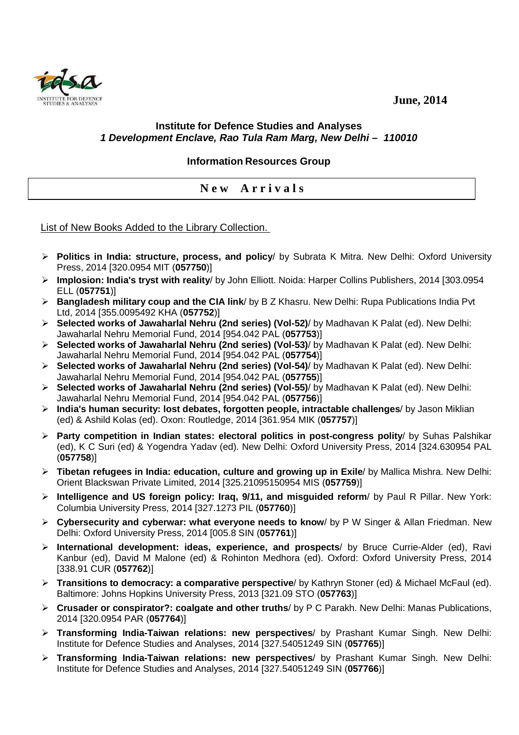**June, 2014** 



## **Institute for Defence Studies and Analyses 1 Development Enclave, Rao Tula Ram Marg, New Delhi – 110010**

## **Information Resources Group**

## **N e w A r r i v a l s**

List of New Books Added to the Library Collection.

- **Politics in India: structure, process, and policy**/ by Subrata K Mitra. New Delhi: Oxford University Press, 2014 [320.0954 MIT (**057750**)]
- **Implosion: India's tryst with reality**/ by John Elliott. Noida: Harper Collins Publishers, 2014 [303.0954 ELL (**057751**)]
- **Bangladesh military coup and the CIA link**/ by B Z Khasru. New Delhi: Rupa Publications India Pvt Ltd, 2014 [355.0095492 KHA (**057752**)]
- **Selected works of Jawaharlal Nehru (2nd series) (Vol-52)**/ by Madhavan K Palat (ed). New Delhi: Jawaharlal Nehru Memorial Fund, 2014 [954.042 PAL (**057753**)]
- **Selected works of Jawaharlal Nehru (2nd series) (Vol-53)**/ by Madhavan K Palat (ed). New Delhi: Jawaharlal Nehru Memorial Fund, 2014 [954.042 PAL (**057754**)]
- **Selected works of Jawaharlal Nehru (2nd series) (Vol-54)**/ by Madhavan K Palat (ed). New Delhi: Jawaharlal Nehru Memorial Fund, 2014 [954.042 PAL (**057755**)]
- **Selected works of Jawaharlal Nehru (2nd series) (Vol-55)**/ by Madhavan K Palat (ed). New Delhi: Jawaharlal Nehru Memorial Fund, 2014 [954.042 PAL (**057756**)]
- **India's human security: lost debates, forgotten people, intractable challenges**/ by Jason Miklian (ed) & Ashild Kolas (ed). Oxon: Routledge, 2014 [361.954 MIK (**057757**)]
- **Party competition in Indian states: electoral politics in post-congress polity**/ by Suhas Palshikar (ed), K C Suri (ed) & Yogendra Yadav (ed). New Delhi: Oxford University Press, 2014 [324.630954 PAL (**057758**)]
- **Tibetan refugees in India: education, culture and growing up in Exile**/ by Mallica Mishra. New Delhi: Orient Blackswan Private Limited, 2014 [325.21095150954 MIS (**057759**)]
- **Intelligence and US foreign policy: Iraq, 9/11, and misguided reform**/ by Paul R Pillar. New York: Columbia University Press, 2014 [327.1273 PIL (**057760**)]
- **Cybersecurity and cyberwar: what everyone needs to know**/ by P W Singer & Allan Friedman. New Delhi: Oxford University Press, 2014 [005.8 SIN (**057761**)]
- **International development: ideas, experience, and prospects**/ by Bruce Currie-Alder (ed), Ravi Kanbur (ed), David M Malone (ed) & Rohinton Medhora (ed). Oxford: Oxford University Press, 2014 [338.91 CUR (**057762**)]
- **Transitions to democracy: a comparative perspective**/ by Kathryn Stoner (ed) & Michael McFaul (ed). Baltimore: Johns Hopkins University Press, 2013 [321.09 STO (**057763**)]
- **Crusader or conspirator?: coalgate and other truths**/ by P C Parakh. New Delhi: Manas Publications, 2014 [320.0954 PAR (**057764**)]
- **Transforming India-Taiwan relations: new perspectives**/ by Prashant Kumar Singh. New Delhi: Institute for Defence Studies and Analyses, 2014 [327.54051249 SIN (**057765**)]
- **Transforming India-Taiwan relations: new perspectives**/ by Prashant Kumar Singh. New Delhi: Institute for Defence Studies and Analyses, 2014 [327.54051249 SIN (**057766**)]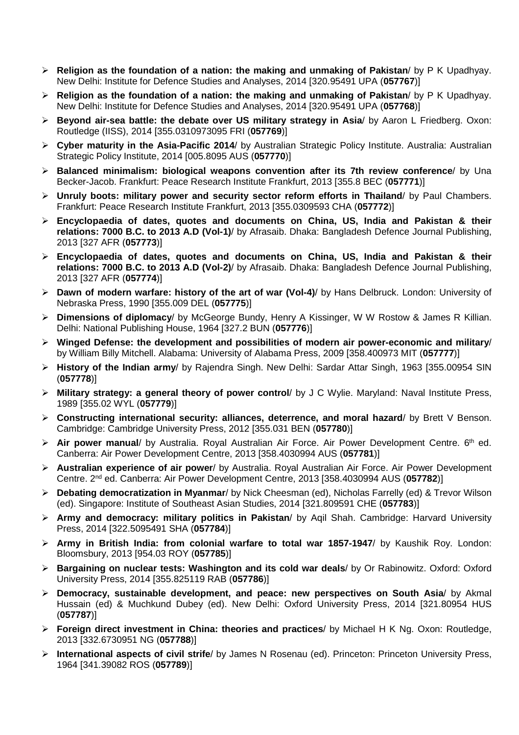- **Religion as the foundation of a nation: the making and unmaking of Pakistan**/ by P K Upadhyay. New Delhi: Institute for Defence Studies and Analyses, 2014 [320.95491 UPA (**057767**)]
- **Religion as the foundation of a nation: the making and unmaking of Pakistan**/ by P K Upadhyay. New Delhi: Institute for Defence Studies and Analyses, 2014 [320.95491 UPA (**057768**)]
- **Beyond air-sea battle: the debate over US military strategy in Asia**/ by Aaron L Friedberg. Oxon: Routledge (IISS), 2014 [355.0310973095 FRI (**057769**)]
- **Cyber maturity in the Asia-Pacific 2014**/ by Australian Strategic Policy Institute. Australia: Australian Strategic Policy Institute, 2014 [005.8095 AUS (**057770**)]
- **Balanced minimalism: biological weapons convention after its 7th review conference**/ by Una Becker-Jacob. Frankfurt: Peace Research Institute Frankfurt, 2013 [355.8 BEC (**057771**)]
- **Unruly boots: military power and security sector reform efforts in Thailand**/ by Paul Chambers. Frankfurt: Peace Research Institute Frankfurt, 2013 [355.0309593 CHA (**057772**)]
- **Encyclopaedia of dates, quotes and documents on China, US, India and Pakistan & their relations: 7000 B.C. to 2013 A.D (Vol-1)**/ by Afrasaib. Dhaka: Bangladesh Defence Journal Publishing, 2013 [327 AFR (**057773**)]
- **Encyclopaedia of dates, quotes and documents on China, US, India and Pakistan & their relations: 7000 B.C. to 2013 A.D (Vol-2)**/ by Afrasaib. Dhaka: Bangladesh Defence Journal Publishing, 2013 [327 AFR (**057774**)]
- **Dawn of modern warfare: history of the art of war (Vol-4)**/ by Hans Delbruck. London: University of Nebraska Press, 1990 [355.009 DEL (**057775**)]
- **Dimensions of diplomacy**/ by McGeorge Bundy, Henry A Kissinger, W W Rostow & James R Killian. Delhi: National Publishing House, 1964 [327.2 BUN (**057776**)]
- **Winged Defense: the development and possibilities of modern air power-economic and military**/ by William Billy Mitchell. Alabama: University of Alabama Press, 2009 [358.400973 MIT (**057777**)]
- **History of the Indian army**/ by Rajendra Singh. New Delhi: Sardar Attar Singh, 1963 [355.00954 SIN (**057778**)]
- **Military strategy: a general theory of power control**/ by J C Wylie. Maryland: Naval Institute Press, 1989 [355.02 WYL (**057779**)]
- **Constructing international security: alliances, deterrence, and moral hazard**/ by Brett V Benson. Cambridge: Cambridge University Press, 2012 [355.031 BEN (**057780**)]
- **Air power manual**/ by Australia. Royal Australian Air Force. Air Power Development Centre. 6<sup>th</sup> ed. Canberra: Air Power Development Centre, 2013 [358.4030994 AUS (**057781**)]
- **Australian experience of air power**/ by Australia. Royal Australian Air Force. Air Power Development Centre. 2nd ed. Canberra: Air Power Development Centre, 2013 [358.4030994 AUS (**057782**)]
- **Debating democratization in Myanmar**/ by Nick Cheesman (ed), Nicholas Farrelly (ed) & Trevor Wilson (ed). Singapore: Institute of Southeast Asian Studies, 2014 [321.809591 CHE (**057783**)]
- **Army and democracy: military politics in Pakistan**/ by Aqil Shah. Cambridge: Harvard University Press, 2014 [322.5095491 SHA (**057784**)]
- **Army in British India: from colonial warfare to total war 1857-1947**/ by Kaushik Roy. London: Bloomsbury, 2013 [954.03 ROY (**057785**)]
- **Bargaining on nuclear tests: Washington and its cold war deals**/ by Or Rabinowitz. Oxford: Oxford University Press, 2014 [355.825119 RAB (**057786**)]
- **Democracy, sustainable development, and peace: new perspectives on South Asia**/ by Akmal Hussain (ed) & Muchkund Dubey (ed). New Delhi: Oxford University Press, 2014 [321.80954 HUS (**057787**)]
- **Foreign direct investment in China: theories and practices**/ by Michael H K Ng. Oxon: Routledge, 2013 [332.6730951 NG (**057788**)]
- **International aspects of civil strife**/ by James N Rosenau (ed). Princeton: Princeton University Press, 1964 [341.39082 ROS (**057789**)]